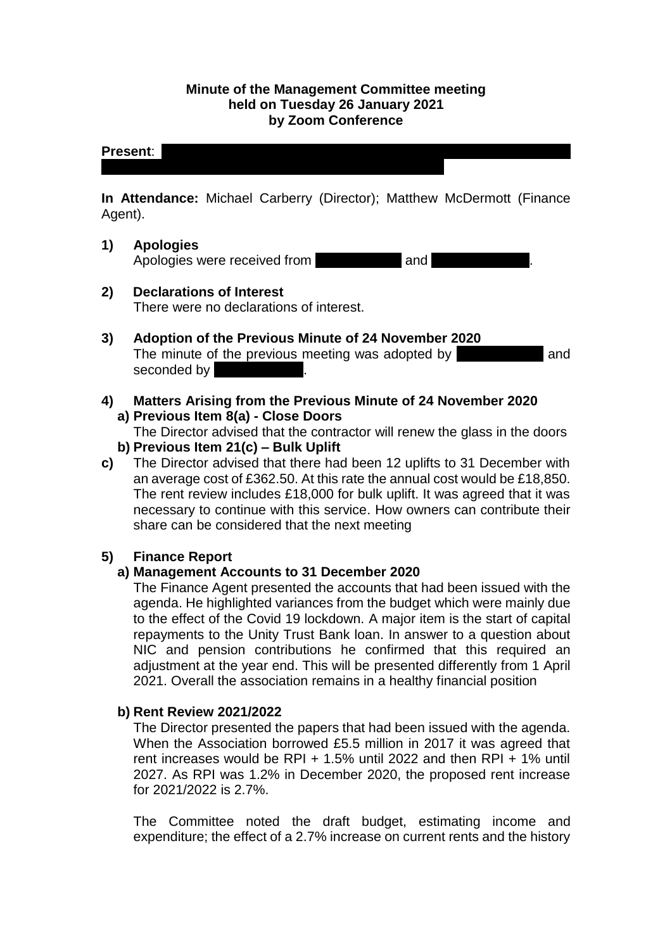## **Minute of the Management Committee meeting held on Tuesday 26 January 2021 by Zoom Conference**

# **Present:**

**In Attendance:** Michael Carberry (Director); Matthew McDermott (Finance Agent).

## **1) Apologies**

Apologies were received from Neil and

- **2) Declarations of Interest** There were no declarations of interest.
- **3) Adoption of the Previous Minute of 24 November 2020** The minute of the previous meeting was adopted by **Manufall** and seconded by
- **4) Matters Arising from the Previous Minute of 24 November 2020 a) Previous Item 8(a) - Close Doors**
	- The Director advised that the contractor will renew the glass in the doors **b) Previous Item 21(c) – Bulk Uplift**
- **c)** The Director advised that there had been 12 uplifts to 31 December with an average cost of £362.50. At this rate the annual cost would be £18,850. The rent review includes £18,000 for bulk uplift. It was agreed that it was necessary to continue with this service. How owners can contribute their share can be considered that the next meeting

# **5) Finance Report**

# **a) Management Accounts to 31 December 2020**

The Finance Agent presented the accounts that had been issued with the agenda. He highlighted variances from the budget which were mainly due to the effect of the Covid 19 lockdown. A major item is the start of capital repayments to the Unity Trust Bank loan. In answer to a question about NIC and pension contributions he confirmed that this required an adjustment at the year end. This will be presented differently from 1 April 2021. Overall the association remains in a healthy financial position

# **b) Rent Review 2021/2022**

The Director presented the papers that had been issued with the agenda. When the Association borrowed £5.5 million in 2017 it was agreed that rent increases would be RPI + 1.5% until 2022 and then RPI  $+$  1% until 2027. As RPI was 1.2% in December 2020, the proposed rent increase for 2021/2022 is 2.7%.

The Committee noted the draft budget, estimating income and expenditure; the effect of a 2.7% increase on current rents and the history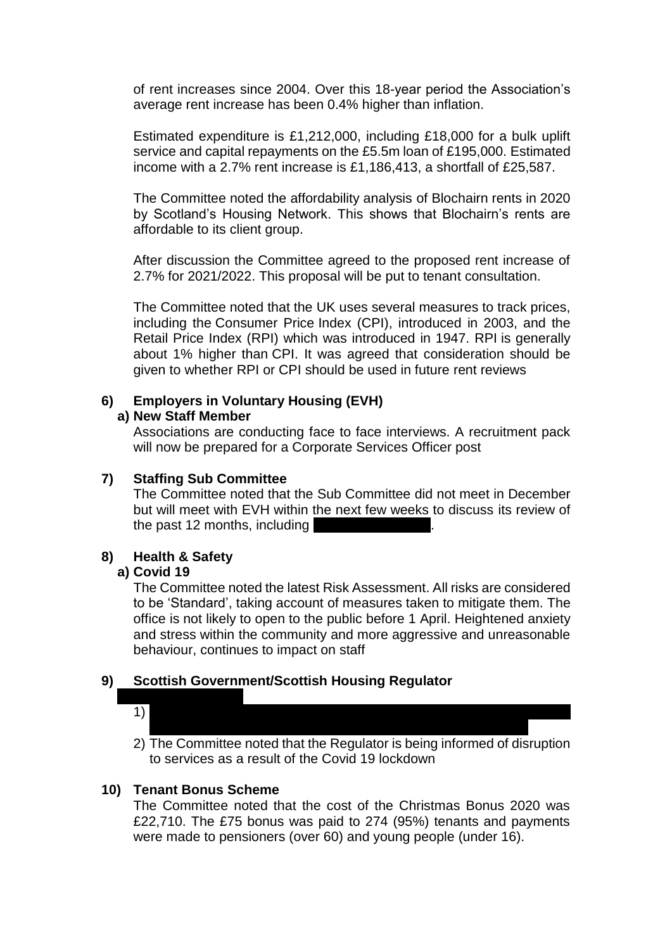of rent increases since 2004. Over this 18-year period the Association's average rent increase has been 0.4% higher than inflation.

Estimated expenditure is £1,212,000, including £18,000 for a bulk uplift service and capital repayments on the £5.5m loan of £195,000. Estimated income with a 2.7% rent increase is £1,186,413, a shortfall of £25,587.

The Committee noted the affordability analysis of Blochairn rents in 2020 by Scotland's Housing Network. This shows that Blochairn's rents are affordable to its client group.

After discussion the Committee agreed to the proposed rent increase of 2.7% for 2021/2022. This proposal will be put to tenant consultation.

The Committee noted that the UK uses several measures to track prices, including the Consumer Price Index (CPI), introduced in 2003, and the Retail Price Index (RPI) which was introduced in 1947. RPI is generally about 1% higher than CPI. It was agreed that consideration should be given to whether RPI or CPI should be used in future rent reviews

## **6) Employers in Voluntary Housing (EVH)**

#### **a) New Staff Member**

Associations are conducting face to face interviews. A recruitment pack will now be prepared for a Corporate Services Officer post

#### **7) Staffing Sub Committee**

The Committee noted that the Sub Committee did not meet in December but will meet with EVH within the next few weeks to discuss its review of the past 12 months, including

#### **8) Health & Safety**

#### **a) Covid 19**

The Committee noted the latest Risk Assessment. All risks are considered to be 'Standard', taking account of measures taken to mitigate them. The office is not likely to open to the public before 1 April. Heightened anxiety and stress within the community and more aggressive and unreasonable behaviour, continues to impact on staff

## **9) Scottish Government/Scottish Housing Regulator**

1) The  $\Gamma$ 

2) The Committee noted that the Regulator is being informed of disruption to services as a result of the Covid 19 lockdown

## **10) Tenant Bonus Scheme**

The Committee noted that the cost of the Christmas Bonus 2020 was £22,710. The £75 bonus was paid to 274 (95%) tenants and payments were made to pensioners (over 60) and young people (under 16).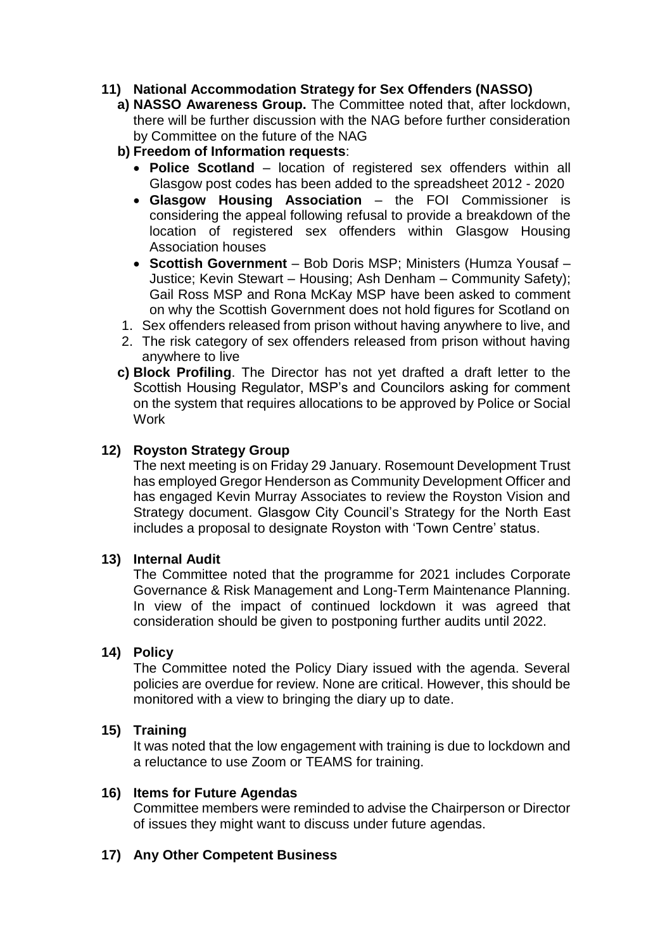## **11) National Accommodation Strategy for Sex Offenders (NASSO)**

- **a) NASSO Awareness Group.** The Committee noted that, after lockdown, there will be further discussion with the NAG before further consideration by Committee on the future of the NAG
- **b) Freedom of Information requests**:
	- **Police Scotland** location of registered sex offenders within all Glasgow post codes has been added to the spreadsheet 2012 - 2020
	- **Glasgow Housing Association** the FOI Commissioner is considering the appeal following refusal to provide a breakdown of the location of registered sex offenders within Glasgow Housing Association houses
	- **Scottish Government** Bob Doris MSP; Ministers (Humza Yousaf Justice; Kevin Stewart – Housing; Ash Denham – Community Safety); Gail Ross MSP and Rona McKay MSP have been asked to comment on why the Scottish Government does not hold figures for Scotland on
- 1. Sex offenders released from prison without having anywhere to live, and
- 2. The risk category of sex offenders released from prison without having anywhere to live
- **c) Block Profiling**. The Director has not yet drafted a draft letter to the Scottish Housing Regulator, MSP's and Councilors asking for comment on the system that requires allocations to be approved by Police or Social Work

## **12) Royston Strategy Group**

The next meeting is on Friday 29 January. Rosemount Development Trust has employed Gregor Henderson as Community Development Officer and has engaged Kevin Murray Associates to review the Royston Vision and Strategy document. Glasgow City Council's Strategy for the North East includes a proposal to designate Royston with 'Town Centre' status.

#### **13) Internal Audit**

The Committee noted that the programme for 2021 includes Corporate Governance & Risk Management and Long-Term Maintenance Planning. In view of the impact of continued lockdown it was agreed that consideration should be given to postponing further audits until 2022.

## **14) Policy**

The Committee noted the Policy Diary issued with the agenda. Several policies are overdue for review. None are critical. However, this should be monitored with a view to bringing the diary up to date.

#### **15) Training**

It was noted that the low engagement with training is due to lockdown and a reluctance to use Zoom or TEAMS for training.

#### **16) Items for Future Agendas**

Committee members were reminded to advise the Chairperson or Director of issues they might want to discuss under future agendas.

## **17) Any Other Competent Business**